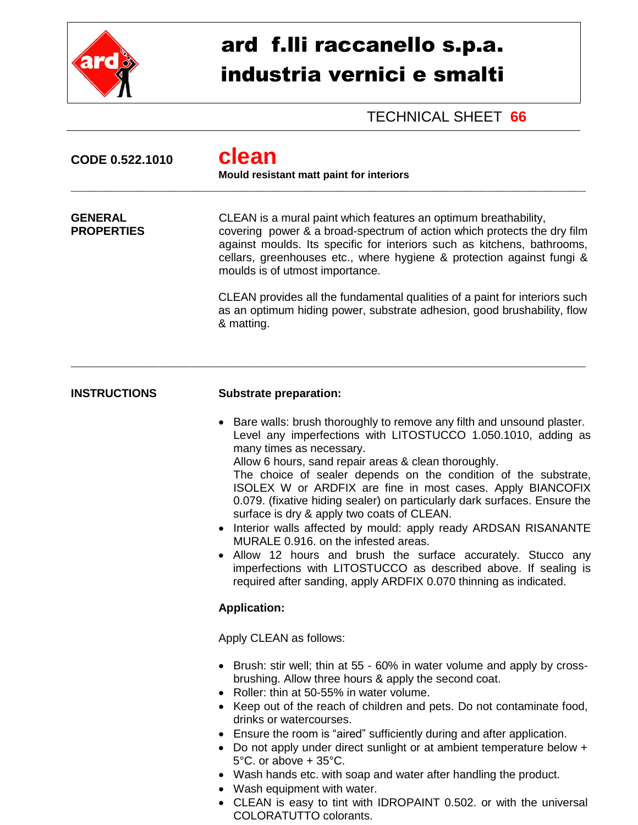

## ard f.lli raccanello s.p.a. industria vernici e smalti

TECHNICAL SHEET **66**

| CODE 0.522.1010                     | clean<br>Mould resistant matt paint for interiors                                                                                                                                                                                                                                                                                                                                                                                                                                                                                                                                                                                                                                                                                                                                                             |  |  |
|-------------------------------------|---------------------------------------------------------------------------------------------------------------------------------------------------------------------------------------------------------------------------------------------------------------------------------------------------------------------------------------------------------------------------------------------------------------------------------------------------------------------------------------------------------------------------------------------------------------------------------------------------------------------------------------------------------------------------------------------------------------------------------------------------------------------------------------------------------------|--|--|
| <b>GENERAL</b><br><b>PROPERTIES</b> | CLEAN is a mural paint which features an optimum breathability,<br>covering power & a broad-spectrum of action which protects the dry film<br>against moulds. Its specific for interiors such as kitchens, bathrooms,<br>cellars, greenhouses etc., where hygiene & protection against fungi &<br>moulds is of utmost importance.                                                                                                                                                                                                                                                                                                                                                                                                                                                                             |  |  |
|                                     | CLEAN provides all the fundamental qualities of a paint for interiors such<br>as an optimum hiding power, substrate adhesion, good brushability, flow<br>& matting.                                                                                                                                                                                                                                                                                                                                                                                                                                                                                                                                                                                                                                           |  |  |
| <b>INSTRUCTIONS</b>                 | <b>Substrate preparation:</b>                                                                                                                                                                                                                                                                                                                                                                                                                                                                                                                                                                                                                                                                                                                                                                                 |  |  |
|                                     | • Bare walls: brush thoroughly to remove any filth and unsound plaster.<br>Level any imperfections with LITOSTUCCO 1.050.1010, adding as<br>many times as necessary.<br>Allow 6 hours, sand repair areas & clean thoroughly.<br>The choice of sealer depends on the condition of the substrate,<br>ISOLEX W or ARDFIX are fine in most cases. Apply BIANCOFIX<br>0.079. (fixative hiding sealer) on particularly dark surfaces. Ensure the<br>surface is dry & apply two coats of CLEAN.<br>• Interior walls affected by mould: apply ready ARDSAN RISANANTE<br>MURALE 0.916. on the infested areas.<br>• Allow 12 hours and brush the surface accurately. Stucco any<br>imperfections with LITOSTUCCO as described above. If sealing is<br>required after sanding, apply ARDFIX 0.070 thinning as indicated. |  |  |
|                                     | <b>Application:</b>                                                                                                                                                                                                                                                                                                                                                                                                                                                                                                                                                                                                                                                                                                                                                                                           |  |  |
|                                     | Apply CLEAN as follows:                                                                                                                                                                                                                                                                                                                                                                                                                                                                                                                                                                                                                                                                                                                                                                                       |  |  |
|                                     | • Brush: stir well; thin at 55 - 60% in water volume and apply by cross-<br>brushing. Allow three hours & apply the second coat.<br>Roller: thin at 50-55% in water volume.<br>• Keep out of the reach of children and pets. Do not contaminate food,<br>drinks or watercourses.<br>• Ensure the room is "aired" sufficiently during and after application.<br>• Do not apply under direct sunlight or at ambient temperature below +<br>$5^{\circ}$ C. or above + $35^{\circ}$ C.<br>Wash hands etc. with soap and water after handling the product.<br>• Wash equipment with water.                                                                                                                                                                                                                         |  |  |

 CLEAN is easy to tint with IDROPAINT 0.502. or with the universal COLORATUTTO colorants.